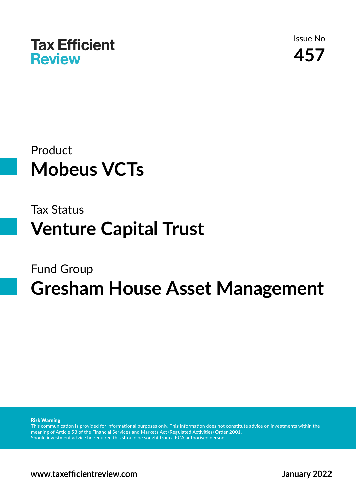

Issue No **457**

## Product **Mobeus VCTs**

## Tax Status **Venture Capital Trust**

# Fund Group **Gresham House Asset Management**

Risk Warning

This communication is provided for informational purposes only. This information does not constitute advice on investments within the meaning of Article 53 of the Financial Services and Markets Act (Regulated Activities) Order 2001. Should investment advice be required this should be sought from a FCA authorised person.

**www.taxefficientreview.com January 2022**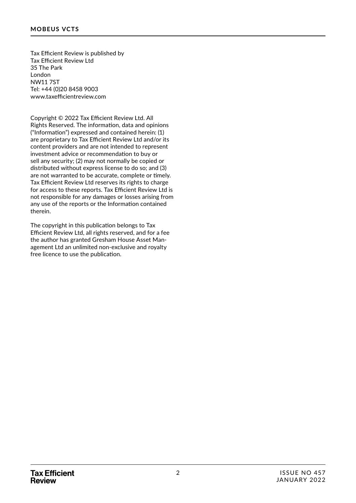Tax Efficient Review is published by Tax Efficient Review Ltd 35 The Park London NW11 7ST Tel: +44 (0)20 8458 9003 www.taxefficientreview.com

Copyright © 2022 Tax Efficient Review Ltd. All Rights Reserved. The information, data and opinions ("Information") expressed and contained herein: (1) are proprietary to Tax Efficient Review Ltd and/or its content providers and are not intended to represent investment advice or recommendation to buy or sell any security; (2) may not normally be copied or distributed without express license to do so; and (3) are not warranted to be accurate, complete or timely. Tax Efficient Review Ltd reserves its rights to charge for access to these reports. Tax Efficient Review Ltd is not responsible for any damages or losses arising from any use of the reports or the Information contained therein.

The copyright in this publication belongs to Tax Efficient Review Ltd, all rights reserved, and for a fee the author has granted Gresham House Asset Management Ltd an unlimited non-exclusive and royalty free licence to use the publication.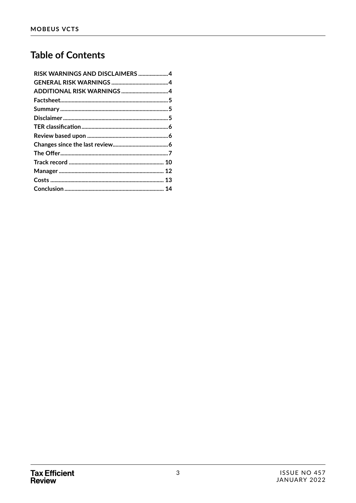### **Table of Contents**

| RISK WARNINGS AND DISCLAIMERS 4 |  |
|---------------------------------|--|
|                                 |  |
| ADDITIONAL RISK WARNINGS 4      |  |
|                                 |  |
|                                 |  |
|                                 |  |
|                                 |  |
|                                 |  |
|                                 |  |
|                                 |  |
|                                 |  |
|                                 |  |
|                                 |  |
|                                 |  |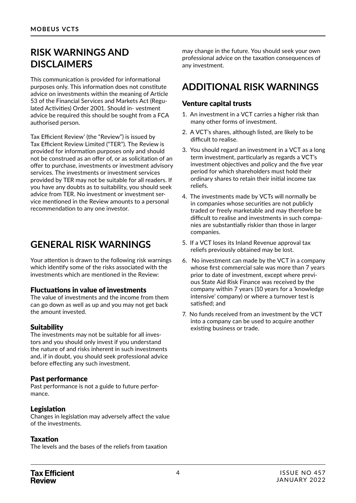### **RISK WARNINGS AND DISCLAIMERS**

This communication is provided for informational purposes only. This information does not constitute advice on investments within the meaning of Article 53 of the Financial Services and Markets Act (Regulated Activities) Order 2001. Should in- vestment advice be required this should be sought from a FCA authorised person.

Tax Efficient Review' (the "Review") is issued by Tax Efficient Review Limited ("TER"). The Review is provided for information purposes only and should not be construed as an offer of, or as solicitation of an offer to purchase, investments or investment advisory services. The investments or investment services provided by TER may not be suitable for all readers. If you have any doubts as to suitability, you should seek advice from TER. No investment or investment service mentioned in the Review amounts to a personal recommendation to any one investor.

### **GENERAL RISK WARNINGS**

Your attention is drawn to the following risk warnings which identify some of the risks associated with the investments which are mentioned in the Review:

#### Fluctuations in value of investments

The value of investments and the income from them can go down as well as up and you may not get back the amount invested.

#### **Suitability**

The investments may not be suitable for all investors and you should only invest if you understand the nature of and risks inherent in such investments and, if in doubt, you should seek professional advice before effecting any such investment.

#### Past performance

Past performance is not a guide to future performance.

#### Legislation

Changes in legislation may adversely affect the value of the investments.

#### Taxation

The levels and the bases of the reliefs from taxation

may change in the future. You should seek your own professional advice on the taxation consequences of any investment.

## **ADDITIONAL RISK WARNINGS**

### Venture capital trusts

- 1. An investment in a VCT carries a higher risk than many other forms of investment.
- 2. A VCT's shares, although listed, are likely to be difficult to realise.
- 3. You should regard an investment in a VCT as a long term investment, particularly as regards a VCT's investment objectives and policy and the five year period for which shareholders must hold their ordinary shares to retain their initial income tax reliefs.
- 4. The investments made by VCTs will normally be in companies whose securities are not publicly traded or freely marketable and may therefore be difficult to realise and investments in such companies are substantially riskier than those in larger companies.
- 5. If a VCT loses its Inland Revenue approval tax reliefs previously obtained may be lost.
- 6. No investment can made by the VCT in a company whose first commercial sale was more than 7 years prior to date of investment, except where previous State Aid Risk Finance was received by the company within 7 years (10 years for a 'knowledge intensive' company) or where a turnover test is satisfied; and
- 7. No funds received from an investment by the VCT into a company can be used to acquire another existing business or trade.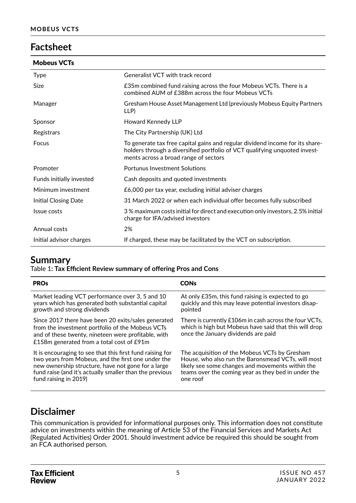### **Factsheet**

| <b>Mobeus VCTs</b> |  |
|--------------------|--|
|--------------------|--|

| Generalist VCT with track record                                                                                                                                                                     |
|------------------------------------------------------------------------------------------------------------------------------------------------------------------------------------------------------|
| £35m combined fund raising across the four Mobeus VCTs. There is a<br>combined AUM of £388m across the four Mobeus VCTs                                                                              |
| Gresham House Asset Management Ltd (previously Mobeus Equity Partners<br>LLP)                                                                                                                        |
| Howard Kennedy LLP                                                                                                                                                                                   |
| The City Partnership (UK) Ltd                                                                                                                                                                        |
| To generate tax free capital gains and regular dividend income for its share-<br>holders through a diversified portfolio of VCT qualifying unquoted invest-<br>ments across a broad range of sectors |
| <b>Portunus Investment Solutions</b>                                                                                                                                                                 |
| Cash deposits and quoted investments                                                                                                                                                                 |
| £6,000 per tax year, excluding initial adviser charges                                                                                                                                               |
| 31 March 2022 or when each individual offer becomes fully subscribed                                                                                                                                 |
| 3% maximum costs initial for direct and execution only investors, 2.5% initial<br>charge for IFA/advised investors                                                                                   |
| 2%                                                                                                                                                                                                   |
| If charged, these may be facilitated by the VCT on subscription.                                                                                                                                     |
|                                                                                                                                                                                                      |

### **Summary**

Table 1**: Tax Efficient Review summary of offering Pros and Cons**

| <b>PROs</b>                                                                                                                                                                                                 | <b>CONs</b>                                                                                                                                             |
|-------------------------------------------------------------------------------------------------------------------------------------------------------------------------------------------------------------|---------------------------------------------------------------------------------------------------------------------------------------------------------|
| Market leading VCT performance over 3, 5 and 10                                                                                                                                                             | At only £35m, this fund raising is expected to go                                                                                                       |
| years which has generated both substantial capital                                                                                                                                                          | quickly and this may leave potential investors disap-                                                                                                   |
| growth and strong dividends                                                                                                                                                                                 | pointed                                                                                                                                                 |
| Since 2017 there have been 20 exits/sales generated<br>from the investment portfolio of the Mobeus VCTs<br>and of these twenty, nineteen were profitable, with<br>£158m generated from a total cost of £91m | There is currently £106m in cash across the four VCTs,<br>which is high but Mobeus have said that this will drop<br>once the January dividends are paid |
| It is encouraging to see that this first fund raising for                                                                                                                                                   | The acquisition of the Mobeus VCTs by Gresham                                                                                                           |
| two years from Mobeus, and the first one under the                                                                                                                                                          | House, who also run the Baronsmead VCTs, will most                                                                                                      |
| new ownership structure, have not gone for a large                                                                                                                                                          | likely see some changes and movements within the                                                                                                        |
| fund raise (and it's actually smaller than the previous                                                                                                                                                     | teams over the coming year as they bed in under the                                                                                                     |
| fund raising in 2019)                                                                                                                                                                                       | one roof                                                                                                                                                |

### **Disclaimer**

This communication is provided for informational purposes only. This information does not constitute advice on investments within the meaning of Article 53 of the Financial Services and Markets Act (Regulated Activities) Order 2001. Should investment advice be required this should be sought from an FCA authorised person.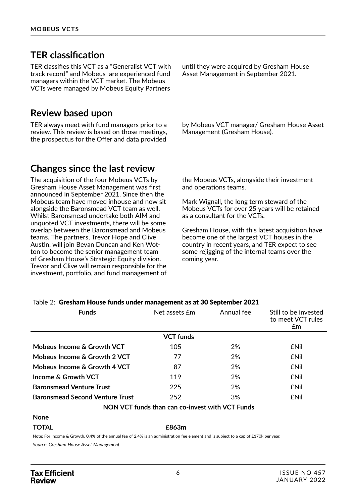### **TER classification**

TER classifies this VCT as a "Generalist VCT with track record" and Mobeus are experienced fund managers within the VCT market. The Mobeus VCTs were managed by Mobeus Equity Partners

### **Review based upon**

TER always meet with fund managers prior to a review. This review is based on those meetings, the prospectus for the Offer and data provided

until they were acquired by Gresham House Asset Management in September 2021.

by Mobeus VCT manager/ Gresham House Asset Management (Gresham House).

### **Changes since the last review**

The acquisition of the four Mobeus VCTs by Gresham House Asset Management was first announced in September 2021. Since then the Mobeus team have moved inhouse and now sit alongside the Baronsmead VCT team as well. Whilst Baronsmead undertake both AIM and unquoted VCT investments, there will be some overlap between the Baronsmead and Mobeus teams. The partners, Trevor Hope and Clive Austin, will join Bevan Duncan and Ken Wotton to become the senior management team of Gresham House's Strategic Equity division. Trevor and Clive will remain responsible for the investment, portfolio, and fund management of the Mobeus VCTs, alongside their investment and operations teams.

Mark Wignall, the long term steward of the Mobeus VCTs for over 25 years will be retained as a consultant for the VCTs.

Gresham House, with this latest acquisition have become one of the largest VCT houses in the country in recent years, and TER expect to see some rejigging of the internal teams over the coming year.

| <b>Funds</b>                           | Net assets £m    | Annual fee | Still to be invested<br>to meet VCT rules<br>£m |
|----------------------------------------|------------------|------------|-------------------------------------------------|
|                                        | <b>VCT</b> funds |            |                                                 |
| Mobeus Income & Growth VCT             | 105              | 2%         | <b>ENil</b>                                     |
| Mobeus Income & Growth 2 VCT           | 77               | 2%         | <b>ENII</b>                                     |
| Mobeus Income & Growth 4 VCT           | 87               | 2%         | <b>£Nil</b>                                     |
| Income & Growth VCT                    | 119              | 2%         | <b>ENII</b>                                     |
| <b>Baronsmead Venture Trust</b>        | 225              | 2%         | <b>ENII</b>                                     |
| <b>Baronsmead Second Venture Trust</b> | 252              | 3%         | <b>ENil</b>                                     |

#### Table 2: Gresham House funds under management as at 30 September 2021

**NON VCT funds than can co-invest with VCT Funds**

#### **TOTAL £863m** Note: For Income & Growth, 0.4% of the annual fee of 2.4% is an administration fee element and is subject to a cap of £170k per year.

**None**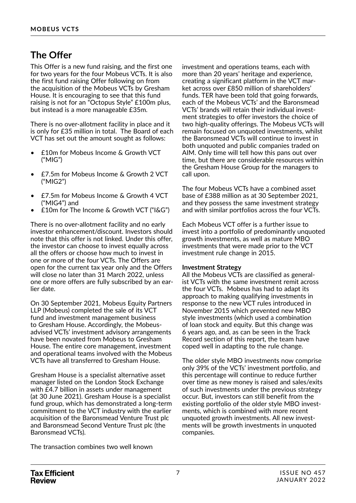### **The Offer**

This Offer is a new fund raising, and the first one for two years for the four Mobeus VCTs. It is also the first fund raising Offer following on from the acquisition of the Mobeus VCTs by Gresham House. It is encouraging to see that this fund raising is not for an "Octopus Style" £100m plus, but instead is a more manageable £35m.

There is no over-allotment facility in place and it is only for £35 million in total. The Board of each VCT has set out the amount sought as follows:

- £10m for Mobeus Income & Growth VCT ("MIG")
- £7.5m for Mobeus Income & Growth 2 VCT ("MIG2")
- £7.5m for Mobeus Income & Growth 4 VCT ("MIG4") and
- £10m for The Income & Growth VCT ("I&G")

There is no over-allotment facility and no early investor enhancement/discount. Investors should note that this offer is not linked. Under this offer, the investor can choose to invest equally across all the offers or choose how much to invest in one or more of the four VCTs. The Offers are open for the current tax year only and the Offers will close no later than 31 March 2022, unless one or more offers are fully subscribed by an earlier date.

On 30 September 2021, Mobeus Equity Partners LLP (Mobeus) completed the sale of its VCT fund and investment management business to Gresham House. Accordingly, the Mobeusadvised VCTs' investment advisory arrangements have been novated from Mobeus to Gresham House. The entire core management, investment and operational teams involved with the Mobeus VCTs have all transferred to Gresham House.

Gresham House is a specialist alternative asset manager listed on the London Stock Exchange with £4.7 billion in assets under management (at 30 June 2021). Gresham House is a specialist fund group, which has demonstrated a long-term commitment to the VCT industry with the earlier acquisition of the Baronsmead Venture Trust plc and Baronsmead Second Venture Trust plc (the Baronsmead VCTs).

The transaction combines two well known

investment and operations teams, each with more than 20 years' heritage and experience, creating a significant platform in the VCT market across over £850 million of shareholders' funds. TER have been told that going forwards, each of the Mobeus VCTs' and the Baronsmead VCTs' brands will retain their individual investment strategies to offer investors the choice of two high-quality offerings. The Mobeus VCTs will remain focused on unquoted investments, whilst the Baronsmead VCTs will continue to invest in both unquoted and public companies traded on AIM. Only time will tell how this pans out over time, but there are considerable resources within the Gresham House Group for the managers to call upon.

The four Mobeus VCTs have a combined asset base of £388 million as at 30 September 2021, and they possess the same investment strategy and with similar portfolios across the four VCTs.

Each Mobeus VCT offer is a further issue to invest into a portfolio of predominantly unquoted growth investments, as well as mature MBO investments that were made prior to the VCT investment rule change in 2015.

#### **Investment Strategy**

All the Mobeus VCTs are classified as generalist VCTs with the same investment remit across the four VCTs. Mobeus has had to adapt its approach to making qualifying investments in response to the new VCT rules introduced in November 2015 which prevented new MBO style investments (which used a combination of loan stock and equity. But this change was 6 years ago, and, as can be seen in the Track Record section of this report, the team have coped well in adapting to the rule change.

The older style MBO investments now comprise only 39% of the VCTs' investment portfolio, and this percentage will continue to reduce further over time as new money is raised and sales/exits of such investments under the previous strategy occur. But, investors can still benefit from the existing portfolio of the older style MBO investments, which is combined with more recent unquoted growth investments. All new investments will be growth investments in unquoted companies.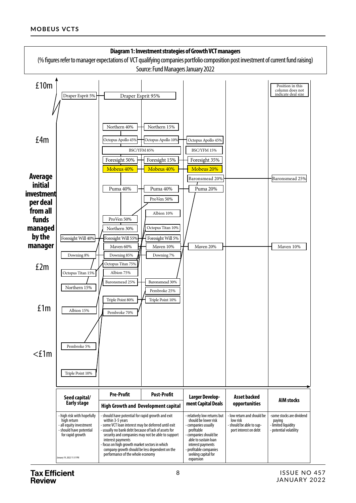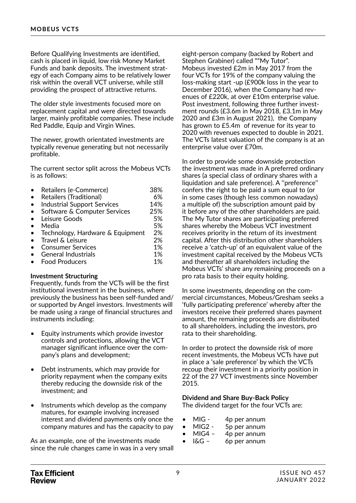Before Qualifying Investments are identified, cash is placed in liquid, low risk Money Market Funds and bank deposits. The investment strategy of each Company aims to be relatively lower risk within the overall VCT universe, while still providing the prospect of attractive returns.

The older style investments focused more on replacement capital and were directed towards larger, mainly profitable companies. These include Red Paddle, Equip and Virgin Wines.

The newer, growth orientated investments are typically revenue generating but not necessarily profitable.

The current sector split across the Mobeus VCTs is as follows:

| Retailers (e-Commerce)             | 38% |
|------------------------------------|-----|
| <b>Retailers (Traditional)</b>     | 6%  |
| <b>Industrial Support Services</b> | 14% |
| Software & Computer Services       | 25% |
| Leisure Goods                      | 5%  |
| Media                              | 5%  |
| Technology, Hardware & Equipment   | 2%  |
| Travel & Leisure                   | 2%  |
| <b>Consumer Services</b>           | 1%  |
| <b>General Industrials</b>         | 1%  |
| <b>Food Producers</b>              | 1%  |

#### **Investment Structuring**

Frequently, funds from the VCTs will be the first institutional investment in the business, where previously the business has been self-funded and/ or supported by Angel investors. Investments will be made using a range of financial structures and instruments including:

- Equity instruments which provide investor controls and protections, allowing the VCT manager significant influence over the company's plans and development;
- Debt instruments, which may provide for priority repayment when the company exits thereby reducing the downside risk of the investment; and
- Instruments which develop as the company matures, for example involving increased interest and dividend payments only once the company matures and has the capacity to pay

As an example, one of the investments made since the rule changes came in was in a very small

eight-person company (backed by Robert and Stephen Grabiner) called ""My Tutor". Mobeus invested £2m in May 2017 from the four VCTs for 19% of the company valuing the loss-making start -up (£900k loss in the year to December 2016), when the Company had revenues of £220k, at over £10m enterprise value. Post investment, following three further investment rounds (£3.6m in May 2018, £3.1m in May 2020 and £3m in August 2021), the Company has grown to £5.4m of revenue for its year to 2020 with revenues expected to double in 2021. The VCTs latest valuation of the company is at an enterprise value over £70m.

In order to provide some downside protection the investment was made in A preferred ordinary shares (a special class of ordinary shares with a liquidation and sale preference). A ''preference'' confers the right to be paid a sum equal to (or in some cases (though less common nowadays) a multiple of) the subscription amount paid by it before any of the other shareholders are paid. The My Tutor shares are participating preferred shares whereby the Mobeus VCT investment receives priority in the return of its investment capital. After this distribution other shareholders receive a 'catch-up' of an equivalent value of the investment capital received by the Mobeus VCTs and thereafter all shareholders including the Mobeus VCTs' share any remaining proceeds on a pro rata basis to their equity holding.

In some investments, depending on the commercial circumstances, Mobeus/Gresham seeks a 'fully participating preference' whereby after the investors receive their preferred shares payment amount, the remaining proceeds are distributed to all shareholders, including the investors, pro rata to their shareholding.

In order to protect the downside risk of more recent investments, the Mobeus VCTs have put in place a 'sale preference' by which the VCTs recoup their investment in a priority position in 22 of the 27 VCT investments since November 2015.

#### **Dividend and Share Buy-Back Policy**

The dividend target for the four VCTs are:

- MIG 4p per annum
- MIG2 5p per annum
- MIG4 4p per annum
- I&G 6p per annum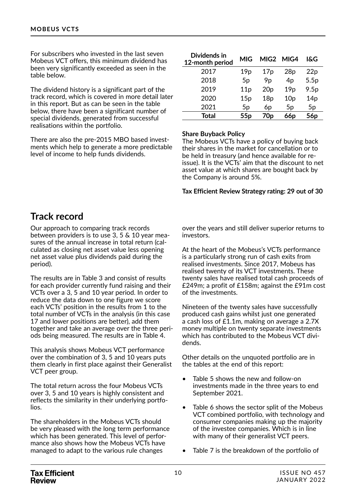For subscribers who invested in the last seven Mobeus VCT offers, this minimum dividend has been very significantly exceeded as seen in the table below.

The dividend history is a significant part of the track record, which is covered in more detail later in this report. But as can be seen in the table below, there have been a significant number of special dividends, generated from successful realisations within the portfolio.

There are also the pre-2015 MBO based investments which help to generate a more predictable level of income to help funds dividends.

| Dividends in<br>12-month period | MIG             | MIG2            | MIG4            | I&G             |
|---------------------------------|-----------------|-----------------|-----------------|-----------------|
| 2017                            | 19 <sub>p</sub> | 17p             | 28p             | 22p             |
| 2018                            | 5 <sub>p</sub>  | 9p              | 4 <sub>p</sub>  | 5.5p            |
| 2019                            | 11p             | 20 <sub>p</sub> | 19 <sub>p</sub> | 9.5p            |
| 2020                            | 15p             | 18p             | 10 <sub>p</sub> | 14p             |
| 2021                            | 5 <sub>p</sub>  | 6p              | 5 <sub>p</sub>  | 5 <sub>p</sub>  |
| Total                           | 55 <sub>p</sub> | 70p             | 66 <sub>p</sub> | 56 <sub>p</sub> |

#### **Share Buyback Policy**

The Mobeus VCTs have a policy of buying back their shares in the market for cancellation or to be held in treasury (and hence available for reissue). It is the VCTs' aim that the discount to net asset value at which shares are bought back by the Company is around 5%.

#### **Tax Efficient Review Strategy rating: 29 out of 30**

### **Track record**

Our approach to comparing track records between providers is to use 3, 5 & 10 year measures of the annual increase in total return (calculated as closing net asset value less opening net asset value plus dividends paid during the period).

The results are in Table 3 and consist of results for each provider currently fund raising and their VCTs over a 3, 5 and 10 year period. In order to reduce the data down to one figure we score each VCTs' position in the results from 1 to the total number of VCTs in the analysis (in this case 17 and lower positions are better), add them together and take an average over the three periods being measured. The results are in Table 4.

This analysis shows Mobeus VCT performance over the combination of 3, 5 and 10 years puts them clearly in first place against their Generalist VCT peer group.

The total return across the four Mobeus VCTs over 3, 5 and 10 years is highly consistent and reflects the similarity in their underlying portfolios.

The shareholders in the Mobeus VCTs should be very pleased with the long term performance which has been generated. This level of performance also shows how the Mobeus VCTs have managed to adapt to the various rule changes

over the years and still deliver superior returns to investors.

At the heart of the Mobeus's VCTs performance is a particularly strong run of cash exits from realised investments. Since 2017, Mobeus has realised twenty of its VCT investments. These twenty sales have realised total cash proceeds of £249m; a profit of £158m; against the £91m cost of the investments.

Nineteen of the twenty sales have successfully produced cash gains whilst just one generated a cash loss of £1.1m, making on average a 2.7X money multiple on twenty separate investments which has contributed to the Mobeus VCT dividends.

Other details on the unquoted portfolio are in the tables at the end of this report:

- Table 5 shows the new and follow-on investments made in the three years to end September 2021.
- Table 6 shows the sector split of the Mobeus VCT combined portfolio, with technology and consumer companies making up the majority of the investee companies. Which is in line with many of their generalist VCT peers.
- Table 7 is the breakdown of the portfolio of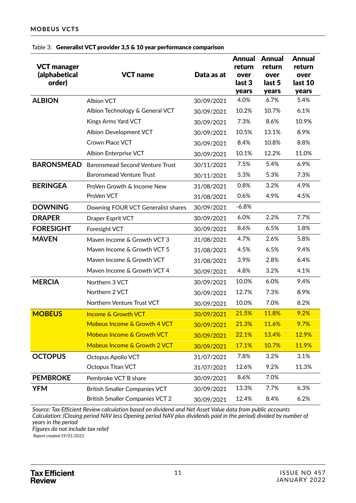| <b>VCT manager</b><br>(alphabetical<br>order) | <b>VCT</b> name                        | Data as at | <b>Annual</b><br>return<br>over<br>last 3<br>years | <b>Annual</b><br>return<br>over<br>last 5<br>years | <b>Annual</b><br>return<br>over<br>last 10<br>years |
|-----------------------------------------------|----------------------------------------|------------|----------------------------------------------------|----------------------------------------------------|-----------------------------------------------------|
| <b>ALBION</b>                                 | <b>Albion VCT</b>                      | 30/09/2021 | 4.0%                                               | 6.7%                                               | 5.4%                                                |
|                                               | Albion Technology & General VCT        | 30/09/2021 | 10.2%                                              | 10.7%                                              | 6.1%                                                |
|                                               | Kings Arms Yard VCT                    | 30/09/2021 | 7.3%                                               | 8.6%                                               | 10.9%                                               |
|                                               | Albion Development VCT                 | 30/09/2021 | 10.5%                                              | 13.1%                                              | 8.9%                                                |
|                                               | Crown Place VCT                        | 30/09/2021 | 8.4%                                               | 10.8%                                              | 8.8%                                                |
|                                               | <b>Albion Enterprise VCT</b>           | 30/09/2021 | 10.1%                                              | 12.2%                                              | 11.0%                                               |
| <b>BARONSMEAD</b>                             | <b>Baronsmead Second Venture Trust</b> | 30/11/2021 | 7.5%                                               | 5.4%                                               | 6.9%                                                |
|                                               | <b>Baronsmead Venture Trust</b>        | 30/11/2021 | 5.3%                                               | 5.3%                                               | 7.3%                                                |
| <b>BERINGEA</b>                               | ProVen Growth & Income New             | 31/08/2021 | 0.8%                                               | 3.2%                                               | 4.9%                                                |
|                                               | ProVen VCT                             | 31/08/2021 | 0.6%                                               | 4.9%                                               | 4.5%                                                |
| <b>DOWNING</b>                                | Downing FOUR VCT Generalist shares     | 30/09/2021 | $-6.8%$                                            |                                                    |                                                     |
| <b>DRAPER</b>                                 | Draper Esprit VCT                      | 30/09/2021 | 6.0%                                               | 2.2%                                               | 7.7%                                                |
| <b>FORESIGHT</b>                              | Foresight VCT                          | 30/09/2021 | 8.6%                                               | 6.5%                                               | 1.8%                                                |
| <b>MAVEN</b>                                  | Maven Income & Growth VCT 3            | 31/08/2021 | 4.7%                                               | 2.6%                                               | 5.8%                                                |
|                                               | Maven Income & Growth VCT 5            | 31/08/2021 | 4.5%                                               | 6.5%                                               | 9.4%                                                |
|                                               | Maven Income & Growth VCT              | 31/08/2021 | 3.9%                                               | 2.8%                                               | 6.4%                                                |
|                                               | Maven Income & Growth VCT 4            | 30/09/2021 | 4.8%                                               | 3.2%                                               | 4.1%                                                |
| <b>MERCIA</b>                                 | Northern 3 VCT                         | 30/09/2021 | 10.0%                                              | 6.0%                                               | 9.4%                                                |
|                                               | Northern 2 VCT                         | 30/09/2021 | 12.7%                                              | 7.3%                                               | 8.9%                                                |
|                                               | Northern Venture Trust VCT             | 30/09/2021 | 10.0%                                              | 7.0%                                               | 8.2%                                                |
| <b>MOBEUS</b>                                 | <b>Income &amp; Growth VCT</b>         | 30/09/2021 | 21.5%                                              | 11.8%                                              | 9.2%                                                |
|                                               | Mobeus Income & Growth 4 VCT           | 30/09/2021 | 21.3%                                              | 11.6%                                              | 9.7%                                                |
|                                               | <b>Mobeus Income &amp; Growth VCT</b>  | 30/09/2021 | 22.1%                                              | 13.4%                                              | 12.9%                                               |
|                                               | Mobeus Income & Growth 2 VCT           | 30/09/2021 | 17.1%                                              | 10.7%                                              | 11.9%                                               |
| <b>OCTOPUS</b>                                | Octopus Apollo VCT                     | 31/07/2021 | 7.8%                                               | 3.2%                                               | 3.1%                                                |
|                                               | Octopus Titan VCT                      | 31/07/2021 | 12.6%                                              | 9.2%                                               | 11.3%                                               |
| <b>PEMBROKE</b>                               | Pembroke VCT B share                   | 30/09/2021 | 8.6%                                               | 7.0%                                               |                                                     |
| <b>YFM</b>                                    | <b>British Smaller Companies VCT</b>   | 30/09/2021 | 13.3%                                              | 7.7%                                               | 6.3%                                                |
|                                               | <b>British Smaller Companies VCT 2</b> | 30/09/2021 | 12.4%                                              | 8.4%                                               | 6.2%                                                |

#### Table 3: Generalist VCT provider 3,5 & 10 year performance comparison

*Source: Tax Efficient Review calculation based on dividend and Net Asset Value data from public accounts Calculation: (Closing period NAV less Opening period NAV plus dividends paid in the period) divided by number of years in the period Figures do not include tax relief*

 *Report created 19/01/2022*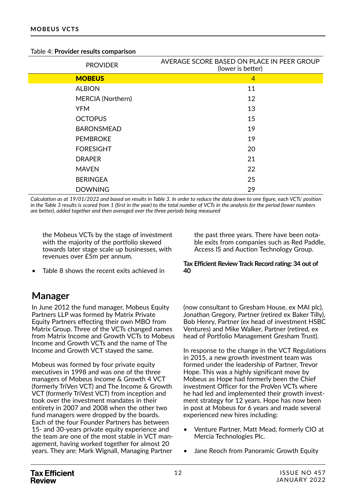| Table 4: Provider results comparison |
|--------------------------------------|
|--------------------------------------|

| <b>PROVIDER</b>   | AVERAGE SCORE BASED ON PLACE IN PEER GROUP<br>(lower is better) |
|-------------------|-----------------------------------------------------------------|
| <b>MOBEUS</b>     | $\overline{4}$                                                  |
| <b>ALBION</b>     | 11                                                              |
| MERCIA (Northern) | 12                                                              |
| <b>YFM</b>        | 13                                                              |
| <b>OCTOPUS</b>    | 15                                                              |
| <b>BARONSMEAD</b> | 19                                                              |
| <b>PEMBROKE</b>   | 19                                                              |
| <b>FORESIGHT</b>  | 20                                                              |
| <b>DRAPER</b>     | 21                                                              |
| <b>MAVEN</b>      | 22                                                              |
| <b>BERINGEA</b>   | 25                                                              |
| <b>DOWNING</b>    | 29                                                              |

*Calculation as at 19/01/2022 and based on results in Table 3. In order to reduce the data down to one figure, each VCTs' position in the Table 3 results is scored from 1 (first in the year) to the total number of VCTs in the analysis for the period (lower numbers are better), added together and then averaged over the three periods being measured*

the Mobeus VCTs by the stage of investment with the majority of the portfolio skewed towards later stage scale up businesses, with revenues over £5m per annum.

Table 8 shows the recent exits achieved in

### **Manager**

In June 2012 the fund manager, Mobeus Equity Partners LLP was formed by Matrix Private Equity Partners effecting their own MBO from Matrix Group. Three of the VCTs changed names from Matrix Income and Growth VCTs to Mobeus Income and Growth VCTs and the name of The Income and Growth VCT stayed the same.

Mobeus was formed by four private equity executives in 1998 and was one of the three managers of Mobeus Income & Growth 4 VCT (formerly TriVen VCT) and The Income & Growth VCT (formerly TriVest VCT) from inception and took over the investment mandates in their entirety in 2007 and 2008 when the other two fund managers were dropped by the boards. Each of the four Founder Partners has between 15- and 30-years private equity experience and the team are one of the most stable in VCT management, having worked together for almost 20 years. They are: Mark Wignall, Managing Partner

the past three years. There have been notable exits from companies such as Red Paddle, Access IS and Auction Technology Group.

#### **Tax Efficient Review Track Record rating: 34 out of 40**

(now consultant to Gresham House, ex MAI plc), Jonathan Gregory, Partner (retired ex Baker Tilly), Bob Henry, Partner (ex head of investment HSBC Ventures) and Mike Walker, Partner (retired, ex head of Portfolio Management Gresham Trust).

In response to the change in the VCT Regulations in 2015, a new growth investment team was formed under the leadership of Partner, Trevor Hope. This was a highly significant move by Mobeus as Hope had formerly been the Chief investment Officer for the ProVen VCTs where he had led and implemented their growth investment strategy for 12 years. Hope has now been in post at Mobeus for 6 years and made several experienced new hires including:

- Venture Partner, Matt Mead, formerly CIO at Mercia Technologies Plc.
- Jane Reoch from Panoramic Growth Equity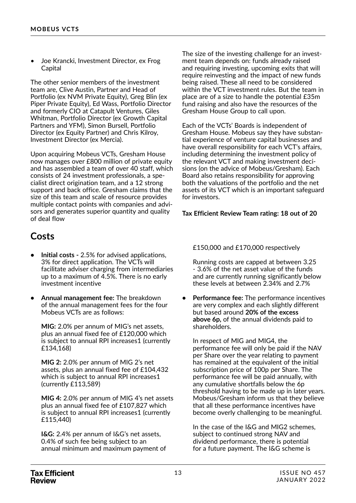• Joe Krancki, Investment Director, ex Frog Capital

The other senior members of the investment team are, Clive Austin, Partner and Head of Portfolio (ex NVM Private Equity), Greg Blin (ex Piper Private Equity), Ed Wass, Portfolio Director and formerly CIO at Catapult Ventures, Giles Whitman, Portfolio Director (ex Growth Capital Partners and YFM), Simon Bursell, Portfolio Director (ex Equity Partner) and Chris Kilroy, Investment Director (ex Mercia).

Upon acquiring Mobeus VCTs, Gresham House now manages over £800 million of private equity and has assembled a team of over 40 staff, which consists of 24 investment professionals, a specialist direct origination team, and a 12 strong support and back office. Gresham claims that the size of this team and scale of resource provides multiple contact points with companies and advisors and generates superior quantity and quality of deal flow

### **Costs**

- **• Initial costs** 2.5% for advised applications, 3% for direct application. The VCTs will facilitate adviser charging from intermediaries up to a maximum of 4.5%. There is no early investment incentive
- **• Annual management fee:** The breakdown of the annual management fees for the four Mobeus VCTs are as follows:

**MIG:** 2.0% per annum of MIG's net assets, plus an annual fixed fee of £120,000 which is subject to annual RPI increases1 (currently £134,168)

**MIG 2:** 2.0% per annum of MIG 2's net assets, plus an annual fixed fee of £104,432 which is subject to annual RPI increases1 (currently £113,589)

**MIG 4:** 2.0% per annum of MIG 4's net assets plus an annual fixed fee of £107,827 which is subject to annual RPI increases1 (currently £115,440)

**I&G:** 2.4% per annum of I&G's net assets, 0.4% of such fee being subject to an annual minimum and maximum payment of The size of the investing challenge for an investment team depends on: funds already raised and requiring investing, upcoming exits that will require reinvesting and the impact of new funds being raised. These all need to be considered within the VCT investment rules. But the team in place are of a size to handle the potential £35m fund raising and also have the resources of the Gresham House Group to call upon.

Each of the VCTs' Boards is independent of Gresham House. Mobeus say they have substantial experience of venture capital businesses and have overall responsibility for each VCT's affairs, including determining the investment policy of the relevant VCT and making investment decisions (on the advice of Mobeus/Gresham). Each Board also retains responsibility for approving both the valuations of the portfolio and the net assets of its VCT which is an important safeguard for investors.

#### **Tax Efficient Review Team rating: 18 out of 20**

#### £150,000 and £170,000 respectively

Running costs are capped at between 3.25 - 3.6% of the net asset value of the funds and are currently running significantly below these levels at between 2.34% and 2.7%

**• Performance fee:** The performance incentives are very complex and each slightly different but based around **20% of the excess above 6p,** of the annual dividends paid to shareholders.

In respect of MIG and MIG4, the performance fee will only be paid if the NAV per Share over the year relating to payment has remained at the equivalent of the initial subscription price of 100p per Share. The performance fee will be paid annually, with any cumulative shortfalls below the 6p threshold having to be made up in later years. Mobeus/Gresham inform us that they believe that all these performance incentives have become overly challenging to be meaningful.

In the case of the I&G and MIG2 schemes, subject to continued strong NAV and dividend performance, there is potential for a future payment. The I&G scheme is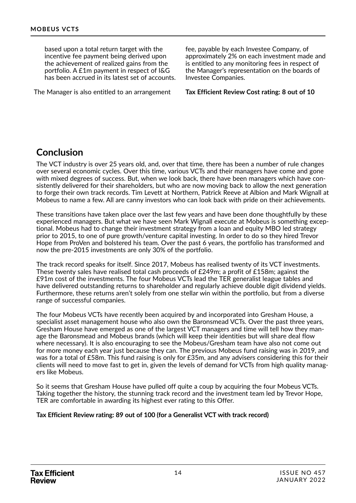based upon a total return target with the incentive fee payment being derived upon the achievement of realized gains from the portfolio. A £1m payment in respect of I&G has been accrued in its latest set of accounts.

The Manager is also entitled to an arrangement

fee, payable by each Investee Company, of approximately 2% on each investment made and is entitled to any monitoring fees in respect of the Manager's representation on the boards of Investee Companies.

**Tax Efficient Review Cost rating: 8 out of 10**

### **Conclusion**

The VCT industry is over 25 years old, and, over that time, there has been a number of rule changes over several economic cycles. Over this time, various VCTs and their managers have come and gone with mixed degrees of success. But, when we look back, there have been managers which have consistently delivered for their shareholders, but who are now moving back to allow the next generation to forge their own track records. Tim Levett at Northern, Patrick Reeve at Albion and Mark Wignall at Mobeus to name a few. All are canny investors who can look back with pride on their achievements.

These transitions have taken place over the last few years and have been done thoughtfully by these experienced managers. But what we have seen Mark Wignall execute at Mobeus is something exceptional. Mobeus had to change their investment strategy from a loan and equity MBO led strategy prior to 2015, to one of pure growth/venture capital investing. In order to do so they hired Trevor Hope from ProVen and bolstered his team. Over the past 6 years, the portfolio has transformed and now the pre-2015 investments are only 30% of the portfolio.

The track record speaks for itself. Since 2017, Mobeus has realised twenty of its VCT investments. These twenty sales have realised total cash proceeds of £249m; a profit of £158m; against the £91m cost of the investments. The four Mobeus VCTs lead the TER generalist league tables and have delivered outstanding returns to shareholder and regularly achieve double digit dividend yields. Furthermore, these returns aren't solely from one stellar win within the portfolio, but from a diverse range of successful companies.

The four Mobeus VCTs have recently been acquired by and incorporated into Gresham House, a specialist asset management house who also own the Baronsmead VCTs. Over the past three years, Gresham House have emerged as one of the largest VCT managers and time will tell how they manage the Baronsmead and Mobeus brands (which will keep their identities but will share deal flow where necessary). It is also encouraging to see the Mobeus/Gresham team have also not come out for more money each year just because they can. The previous Mobeus fund raising was in 2019, and was for a total of £58m. This fund raising is only for £35m, and any advisers considering this for their clients will need to move fast to get in, given the levels of demand for VCTs from high quality managers like Mobeus.

So it seems that Gresham House have pulled off quite a coup by acquiring the four Mobeus VCTs. Taking together the history, the stunning track record and the investment team led by Trevor Hope, TER are comfortable in awarding its highest ever rating to this Offer.

**Tax Efficient Review rating: 89 out of 100 (for a Generalist VCT with track record)**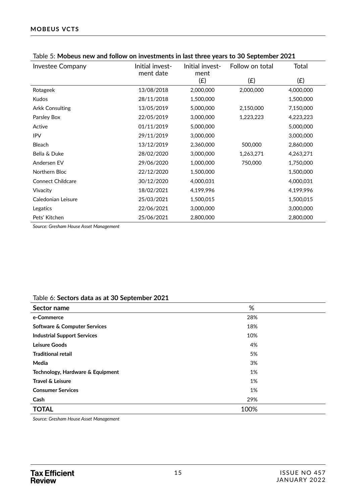| <b>Investee Company</b>  | Initial invest-<br>ment date | Initial invest-<br>ment | Follow on total | <b>Total</b> |
|--------------------------|------------------------------|-------------------------|-----------------|--------------|
|                          |                              | (E)                     | (E)             | (E)          |
| Rotageek                 | 13/08/2018                   | 2,000,000               | 2,000,000       | 4,000,000    |
| Kudos                    | 28/11/2018                   | 1,500,000               |                 | 1,500,000    |
| <b>Arkk Consulting</b>   | 13/05/2019                   | 5,000,000               | 2,150,000       | 7,150,000    |
| Parsley Box              | 22/05/2019                   | 3,000,000               | 1,223,223       | 4,223,223    |
| Active                   | 01/11/2019                   | 5,000,000               |                 | 5,000,000    |
| <b>IPV</b>               | 29/11/2019                   | 3,000,000               |                 | 3,000,000    |
| <b>Bleach</b>            | 13/12/2019                   | 2,360,000               | 500,000         | 2,860,000    |
| Bella & Duke             | 28/02/2020                   | 3,000,000               | 1,263,271       | 4,263,271    |
| Andersen EV              | 29/06/2020                   | 1,000,000               | 750,000         | 1,750,000    |
| Northern Bloc            | 22/12/2020                   | 1,500,000               |                 | 1,500,000    |
| <b>Connect Childcare</b> | 30/12/2020                   | 4,000,031               |                 | 4,000,031    |
| Vivacity                 | 18/02/2021                   | 4,199,996               |                 | 4,199,996    |
| Caledonian Leisure       | 25/03/2021                   | 1,500,015               |                 | 1,500,015    |
| Legatics                 | 22/06/2021                   | 3,000,000               |                 | 3,000,000    |
| Pets' Kitchen            | 25/06/2021                   | 2,800,000               |                 | 2,800,000    |

#### Table 5: **Mobeus new and follow on investments in last three years to 30 September 2021**

*Source: Gresham House Asset Management*

#### Table 6: **Sectors data as at 30 September 2021**

| Sector name                             | %    |  |
|-----------------------------------------|------|--|
| e-Commerce                              | 28%  |  |
| <b>Software &amp; Computer Services</b> | 18%  |  |
| <b>Industrial Support Services</b>      | 10%  |  |
| <b>Leisure Goods</b>                    | 4%   |  |
| <b>Traditional retail</b>               | 5%   |  |
| Media                                   | 3%   |  |
| Technology, Hardware & Equipment        | 1%   |  |
| Travel & Leisure                        | 1%   |  |
| <b>Consumer Services</b>                | 1%   |  |
| Cash                                    | 29%  |  |
| <b>TOTAL</b>                            | 100% |  |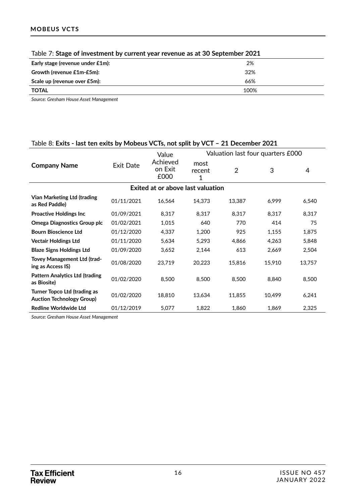| Table 7: Stage of investment by current year revenue as at 30 September 2021 |      |  |  |  |  |  |
|------------------------------------------------------------------------------|------|--|--|--|--|--|
| Early stage (revenue under $£1m$ ):                                          | 2%   |  |  |  |  |  |
| Growth (revenue £1m-£5m):                                                    | 32%  |  |  |  |  |  |
| Scale up (revenue over £5m):                                                 | 66%  |  |  |  |  |  |
| <b>TOTAL</b>                                                                 | 100% |  |  |  |  |  |

*Source: Gresham House Asset Management*

#### Table 8: **Exits - last ten exits by Mobeus VCTs, not split by VCT – 21 December 2021**

|                                                                         |            | Value                       | Valuation last four quarters £000 |                |        |        |  |  |  |  |
|-------------------------------------------------------------------------|------------|-----------------------------|-----------------------------------|----------------|--------|--------|--|--|--|--|
| <b>Company Name</b>                                                     | Exit Date  | Achieved<br>on Exit<br>£000 | most<br>recent<br>1               | $\overline{2}$ | 3      | 4      |  |  |  |  |
| Exited at or above last valuation                                       |            |                             |                                   |                |        |        |  |  |  |  |
| Vian Marketing Ltd (trading<br>as Red Paddle)                           | 01/11/2021 | 16,564                      | 14,373                            | 13,387         | 6,999  | 6,540  |  |  |  |  |
| <b>Proactive Holdings Inc.</b>                                          | 01/09/2021 | 8,317                       | 8,317                             | 8,317          | 8,317  | 8,317  |  |  |  |  |
| <b>Omega Diagnostics Group plc</b>                                      | 01/02/2021 | 1,015                       | 640                               | 770            | 414    | 75     |  |  |  |  |
| <b>Bourn Bioscience Ltd</b>                                             | 01/12/2020 | 4,337                       | 1,200                             | 925            | 1,155  | 1,875  |  |  |  |  |
| <b>Vectair Holdings Ltd</b>                                             | 01/11/2020 | 5,634                       | 5,293                             | 4,866          | 4,263  | 5,848  |  |  |  |  |
| <b>Blaze Signs Holdings Ltd</b>                                         | 01/09/2020 | 3,652                       | 2.144                             | 613            | 2,669  | 2,504  |  |  |  |  |
| Tovey Management Ltd (trad-<br>ing as Access IS)                        | 01/08/2020 | 23,719                      | 20,223                            | 15,816         | 15,910 | 13,757 |  |  |  |  |
| <b>Pattern Analytics Ltd (trading</b><br>as Biosite)                    | 01/02/2020 | 8,500                       | 8,500                             | 8,500          | 8,840  | 8,500  |  |  |  |  |
| <b>Turner Topco Ltd (trading as</b><br><b>Auction Technology Group)</b> | 01/02/2020 | 18,810                      | 13,634                            | 11,855         | 10,499 | 6,241  |  |  |  |  |
| <b>Redline Worldwide Ltd</b>                                            | 01/12/2019 | 5,077                       | 1,822                             | 1,860          | 1,869  | 2,325  |  |  |  |  |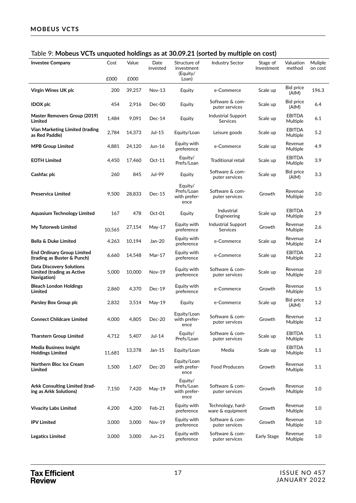#### Table 9: **Mobeus VCTs unquoted holdings as at 30.09.21 (sorted by multiple on cost)**

| <b>Investee Company</b>                                                             | Cost   | Value  | Date<br>invested | Structure of<br>investment<br>(Equity/        | <b>Industry Sector</b>                       | Stage of<br>Investment | Valuation<br>method       | Muliple<br>on cost |
|-------------------------------------------------------------------------------------|--------|--------|------------------|-----------------------------------------------|----------------------------------------------|------------------------|---------------------------|--------------------|
|                                                                                     | £000   | £000   |                  | Loan)                                         |                                              |                        |                           |                    |
| Virgin Wines UK plc                                                                 | 200    | 39,257 | <b>Nov-13</b>    | Equity                                        | e-Commerce                                   | Scale up               | Bid price<br>(AIM)        | 196.3              |
| <b>IDOX</b> plc                                                                     | 454    | 2,916  | Dec-00           | Equity                                        | Software & com-<br>puter services            | Scale up               | Bid price<br>(AIM)        | 6.4                |
| Master Removers Group (2019)<br>Limited                                             | 1,484  | 9,091  | $Dec-14$         | Equity                                        | <b>Industrial Support</b><br><b>Services</b> | Scale up               | <b>EBITDA</b><br>Multiple | 6.1                |
| Vian Marketing Limited (trading<br>as Red Paddle)                                   | 2,784  | 14,373 | Jul-15           | Equity/Loan                                   | Leisure goods                                | Scale up               | <b>EBITDA</b><br>Multiple | 5.2                |
| <b>MPB Group Limited</b>                                                            | 4,881  | 24,120 | Jun-16           | Equity with<br>preference                     | e-Commerce                                   | Scale up               | Revenue<br>Multiple       | 4.9                |
| <b>EOTH Limited</b>                                                                 | 4,450  | 17,460 | $Oct-11$         | Equity/<br>Prefs/Loan                         | Traditional retail                           | Scale up               | <b>EBITDA</b><br>Multiple | 3.9                |
| Cashfac plc                                                                         | 260    | 845    | Jul-99           | Equity                                        | Software & com-<br>puter services            | Scale up               | Bid price<br>(AIM)        | 3.3                |
| Preservica Limited                                                                  | 9,500  | 28,833 | $Dec-15$         | Equity/<br>Prefs/Loan<br>with prefer-<br>ence | Software & com-<br>puter services            | Growth                 | Revenue<br>Multiple       | 3.0                |
| Aquasium Technology Limited                                                         | 167    | 478    | Oct-01           | Equity                                        | Industrial<br>Engineering                    | Scale up               | <b>EBITDA</b><br>Multiple | 2.9                |
| My Tutorweb Limited                                                                 | 10,565 | 27,154 | May-17           | Equity with<br>preference                     | Industrial Support<br>Services               | Growth                 | Revenue<br>Multiple       | 2.6                |
| <b>Bella &amp; Duke Limited</b>                                                     | 4,263  | 10,194 | Jan-20           | Equity with<br>preference                     | e-Commerce                                   | Scale up               | Revenue<br>Multiple       | 2.4                |
| <b>End Ordinary Group Limited</b><br>(trading as Buster & Punch)                    | 6,660  | 14,548 | Mar-17           | Equity with<br>preference                     | e-Commerce                                   | Scale up               | <b>EBITDA</b><br>Multiple | 2.2                |
| <b>Data Discovery Solutions</b><br><b>Limited (trading as Active</b><br>Navigation) | 5,000  | 10,000 | Nov-19           | Equity with<br>preference                     | Software & com-<br>puter services            | Scale up               | Revenue<br>Multiple       | 2.0                |
| <b>Bleach London Holdings</b><br>Limited                                            | 2,860  | 4,370  | $Dec-19$         | Equity with<br>preference                     | e-Commerce                                   | Growth                 | Revenue<br>Multiple       | 1.5                |
| Parsley Box Group plc                                                               | 2,832  | 3,514  | May-19           | Equity                                        | e-Commerce                                   | Scale up               | Bid price<br>(AIM)        | 1.2                |
| <b>Connect Childcare Limited</b>                                                    | 4,000  | 4,805  | <b>Dec-20</b>    | Equity/Loan<br>with prefer-<br>ence           | Software & com-<br>puter services            | Growth                 | Revenue<br>Multiple       | 1.2                |
| <b>Tharstern Group Limited</b>                                                      | 4,712  | 5,407  | Jul-14           | Equity/<br>Prefs/Loan                         | Software & com-<br>puter services            | Scale up               | <b>EBITDA</b><br>Multiple | 1.1                |
| <b>Media Business Insight</b><br><b>Holdings Limited</b>                            | 11,681 | 13,378 | Jan-15           | Equity/Loan                                   | Media                                        | Scale up               | <b>EBITDA</b><br>Multiple | 1.1                |
| Northern Bloc Ice Cream<br>Limited                                                  | 1,500  | 1,607  | Dec-20           | Equity/Loan<br>with prefer-<br>ence           | <b>Food Producers</b>                        | Growth                 | Revenue<br>Multiple       | 1.1                |
| Arkk Consulting Limited (trad-<br>ing as Arkk Solutions)                            | 7,150  | 7,420  | May-19           | Equity/<br>Prefs/Loan<br>with prefer-<br>ence | Software & com-<br>puter services            | Growth                 | Revenue<br>Multiple       | 1.0                |
| <b>Vivacity Labs Limited</b>                                                        | 4,200  | 4,200  | Feb-21           | Equity with<br>preference                     | Technology, hard-<br>ware & equipment        | Growth                 | Revenue<br>Multiple       | 1.0                |
| <b>IPV Limited</b>                                                                  | 3,000  | 3,000  | Nov-19           | Equity with<br>preference                     | Software & com-<br>puter services            | Growth                 | Revenue<br>Multiple       | 1.0                |
| <b>Legatics Limited</b>                                                             | 3,000  | 3,000  | Jun-21           | Equity with<br>preference                     | Software & com-<br>puter services            | Early Stage            | Revenue<br>Multiple       | $1.0$              |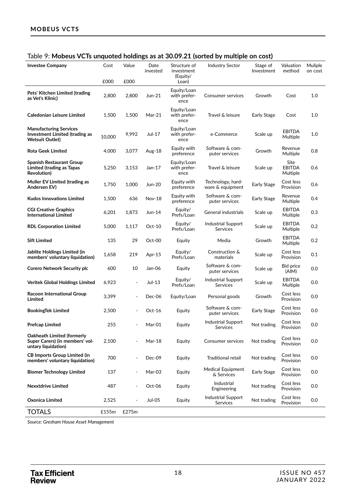| 2. Mobels vers and accent normality<br><b>Investee Company</b>                            | Cost   | Value                    | Date<br>invested | Structure of<br>investment          | $\frac{1}{2}$ at 00.07.21 (30) today matriple on cost<br><b>Industry Sector</b> | Stage of<br>Investment | Valuation<br>method               | Muliple<br>on cost |
|-------------------------------------------------------------------------------------------|--------|--------------------------|------------------|-------------------------------------|---------------------------------------------------------------------------------|------------------------|-----------------------------------|--------------------|
|                                                                                           | £000   | £000                     |                  | (Equity/<br>Loan)                   |                                                                                 |                        |                                   |                    |
| Pets' Kitchen Limited (trading<br>as Vet's Klinic)                                        | 2,800  | 2,800                    | Jun-21           | Equity/Loan<br>with prefer-<br>ence | <b>Consumer services</b>                                                        | Growth                 | Cost                              | $1.0$              |
| Caledonian Leisure Limited                                                                | 1,500  | 1,500                    | Mar-21           | Equity/Loan<br>with prefer-<br>ence | Travel & leisure                                                                | Early Stage            | Cost                              | 1.0                |
| <b>Manufacturing Services</b><br>Investment Limited (trading as<br><b>Wetsuit Outlet)</b> | 10,000 | 9,992                    | Jul-17           | Equity/Loan<br>with prefer-<br>ence | e-Commerce                                                                      | Scale up               | <b>EBITDA</b><br>Multiple         | 1.0                |
| <b>Rota Geek Limited</b>                                                                  | 4,000  | 3,077                    | Aug-18           | Equity with<br>preference           | Software & com-<br>puter services                                               | Growth                 | Revenue<br>Multiple               | 0.8                |
| Spanish Restaurant Group<br>Limited (trading as Tapas<br><b>Revolution</b> )              | 5,250  | 3,153                    | Jan-17           | Equity/Loan<br>with prefer-<br>ence | Travel & leisure                                                                | Scale up               | Site<br><b>EBITDA</b><br>Multiple | 0.6                |
| Muller EV Limited (trading as<br>Andersen EV)                                             | 1,750  | 1,000                    | Jun-20           | Equity with<br>preference           | Technology, hard-<br>ware & equipment                                           | Early Stage            | Cost less<br>Provision            | 0.6                |
| <b>Kudos Innovations Limited</b>                                                          | 1,500  | 636                      | Nov-18           | Equity with<br>preference           | Software & com-<br>puter services                                               | Early Stage            | Revenue<br>Multiple               | 0.4                |
| <b>CGI Creative Graphics</b><br><b>International Limited</b>                              | 6,201  | 1,873                    | Jun-14           | Equity/<br>Prefs/Loan               | General industrials                                                             | Scale up               | <b>EBITDA</b><br>Multiple         | 0.3                |
| <b>RDL Corporation Limited</b>                                                            | 5,000  | 1,117                    | $Oct-10$         | Equity/<br>Prefs/Loan               | <b>Industrial Support</b><br>Services                                           | Scale up               | <b>EBITDA</b><br>Multiple         | 0.2                |
| <b>Sift Limited</b>                                                                       | 135    | 29                       | Oct-00           | Equity                              | Media                                                                           | Growth                 | <b>EBITDA</b><br>Multiple         | 0.2                |
| Jablite Holdings Limited (in<br>members' voluntary liquidation)                           | 1,658  | 219                      | Apr-15           | Equity/<br>Prefs/Loan               | Construction &<br>materials                                                     | Scale up               | Cost less<br>Provision            | 0.1                |
| <b>Corero Network Security plc</b>                                                        | 600    | 10                       | Jan-06           | Equity                              | Software & com-<br>puter services                                               | Scale up               | Bid price<br>(AIM)                | 0.0                |
| Veritek Global Holdings Limited                                                           | 6,923  | $\overline{\phantom{a}}$ | Jul-13           | Equity/<br>Prefs/Loan               | Industrial Support<br>Services                                                  | Scale up               | <b>EBITDA</b><br>Multiple         | 0.0                |
| Racoon International Group<br>Limited                                                     | 3,399  |                          | Dec-06           | Equity/Loan                         | Personal goods                                                                  | Growth                 | Cost less<br>Provision            | 0.0                |
| <b>BookingTek Limited</b>                                                                 | 2,500  |                          | $Oct-16$         | Equity                              | Software & com-<br>puter services                                               | Early Stage            | Cost less<br>Provision            | 0.0                |
| Prefcap Limited                                                                           | 255    |                          | Mar-01           | Equity                              | <b>Industrial Support</b><br>Services                                           | Not trading            | Cost less<br>Provision            | 0.0                |
| Oakheath Limited (formerly<br>Super Carers) (in members' vol-<br>untary liquidation)      | 2,100  |                          | Mar-18           | Equity                              | <b>Consumer services</b>                                                        | Not trading            | Cost less<br>Provision            | 0.0                |
| <b>CB Imports Group Limited (in</b><br>members' voluntary liquidation)                    | 700    |                          | Dec-09           | Equity                              | <b>Traditional retail</b>                                                       | Not trading            | Cost less<br>Provision            | 0.0                |
| <b>Biomer Technology Limited</b>                                                          | 137    |                          | Mar-03           | Equity                              | Medical Equipment<br>& Services                                                 | Early Stage            | Cost less<br>Provision            | 0.0                |
| <b>Nexxtdrive Limited</b>                                                                 | 487    |                          | Oct-06           | Equity                              | Industrial<br>Engineering                                                       | Not trading            | Cost less<br>Provision            | 0.0                |
| Oxonica Limited                                                                           | 2,525  |                          | <b>Jul-05</b>    | Equity                              | Industrial Support<br><b>Services</b>                                           | Not trading            | Cost less<br>Provision            | 0.0                |
| <b>TOTALS</b>                                                                             | £155m  | £275m                    |                  |                                     |                                                                                 |                        |                                   |                    |